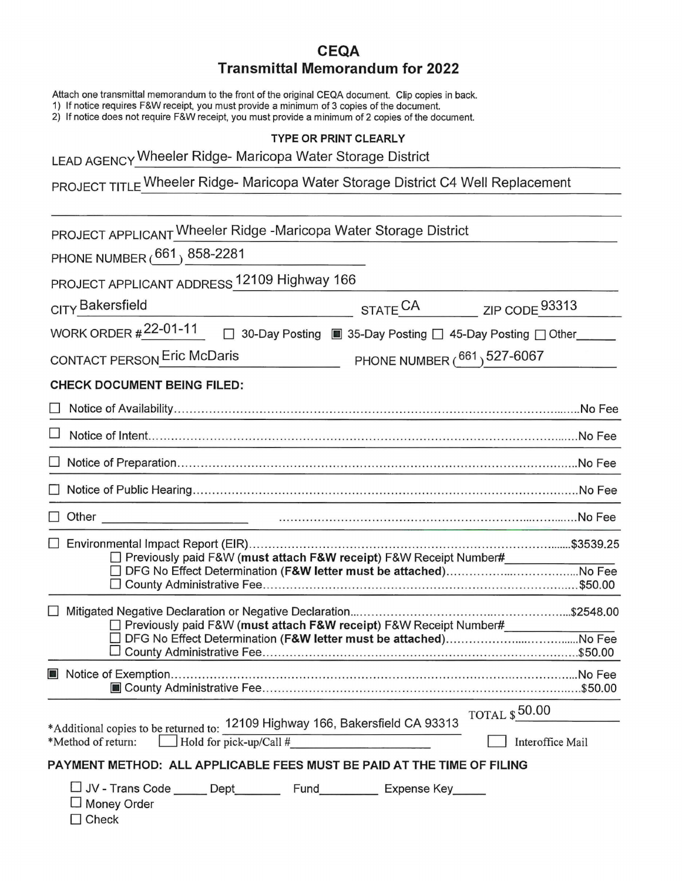## **CEQA Transmittal Memorandum for 2022**

Attach one transmittal memorandum to the front of the original CEQA document. Clip copies in back.

1) If notice requires F&W receipt, you must provide a minimum of 3 copies of the document.

2) If notice does not require F&W receipt, you must provide a minimum of 2 copies of the document.

## **TYPE OR PRINT CLEARLY**

LEAD AGENCY Wheeler Ridge- Maricopa Water Storage District

PROJECT TITLE Wheeler Ridge- Maricopa Water Storage District C4 Well Replacement

| PROJECT APPLICANT Wheeler Ridge -Maricopa Water Storage District                                                                                                                                                |                             |                                          |  |  |
|-----------------------------------------------------------------------------------------------------------------------------------------------------------------------------------------------------------------|-----------------------------|------------------------------------------|--|--|
| PHONE NUMBER (661) 858-2281                                                                                                                                                                                     |                             |                                          |  |  |
| PROJECT APPLICANT ADDRESS 12109 Highway 166                                                                                                                                                                     |                             |                                          |  |  |
| CITY Bakersfield                                                                                                                                                                                                | STATE <sup>CA</sup>         | ZIP CODE 93313                           |  |  |
| WORK ORDER #22-01-11<br>□ 30-Day Posting ■ 35-Day Posting □ 45-Day Posting □ Other                                                                                                                              |                             |                                          |  |  |
| CONTACT PERSON Eric McDaris                                                                                                                                                                                     | PHONE NUMBER (661) 527-6067 |                                          |  |  |
| <b>CHECK DOCUMENT BEING FILED:</b>                                                                                                                                                                              |                             |                                          |  |  |
|                                                                                                                                                                                                                 |                             |                                          |  |  |
|                                                                                                                                                                                                                 |                             |                                          |  |  |
|                                                                                                                                                                                                                 |                             |                                          |  |  |
| □ Notice of Public Hearing………………………………………………………………………………………No Fee                                                                                                                                               |                             |                                          |  |  |
| $\Box$ Other                                                                                                                                                                                                    |                             |                                          |  |  |
| □ Environmental Impact Report (EIR)………………………………………………………………………………\$3539.25<br>□ Previously paid F&W (must attach F&W receipt) F&W Receipt Number#                                                               |                             |                                          |  |  |
|                                                                                                                                                                                                                 |                             |                                          |  |  |
| □ Previously paid F&W (must attach F&W receipt) F&W Receipt Number#                                                                                                                                             |                             |                                          |  |  |
| ■ Notice of Exemption…………………………………………………………………………………………No Fee                                                                                                                                                   |                             |                                          |  |  |
| *Additional copies to be returned to: 12109 Highway 166, Bakersfield CA 93313<br>$\Box$ Hold for pick-up/Call #<br>*Method of return:<br>PAYMENT METHOD: ALL APPLICABLE FEES MUST BE PAID AT THE TIME OF FILING |                             | <b>TOTAL \$50.00</b><br>Interoffice Mail |  |  |
| □ JV - Trans Code ______ Dept___________ Fund___________ Expense Key______<br>Money Order<br>Check                                                                                                              |                             |                                          |  |  |